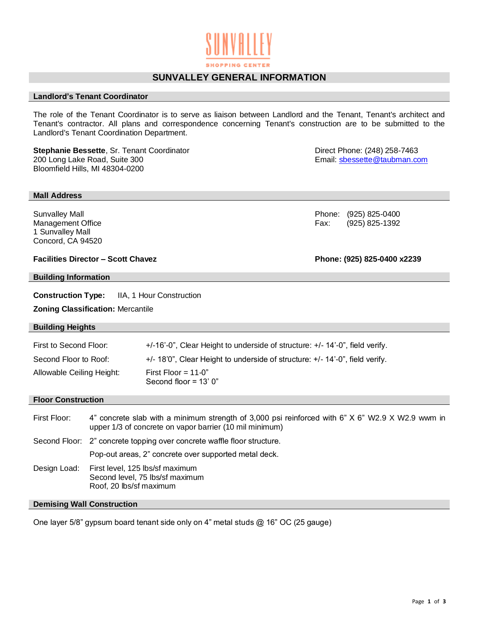# **SUNVALLEY GENERAL INFORMATION**

### **Landlord's Tenant Coordinator**

The role of the Tenant Coordinator is to serve as liaison between Landlord and the Tenant, Tenant's architect and Tenant's contractor. All plans and correspondence concerning Tenant's construction are to be submitted to the Landlord's Tenant Coordination Department.

**Stephanie Bessette**, Sr. Tenant Coordinator **Communist Construction Construction** Direct Phone: (248) 258-7463<br>200 Long Lake Road, Suite 300 **Direct Phone: Email: sbessette@taubman.cc** Bloomfield Hills, MI 48304-0200

#### **Mall Address**

1 Sunvalley Mall Concord, CA 94520

## **Facilities Director – Scott Chavez Phone: (925) 825-0400 x2239**

#### **Building Information**

**Construction Type:** IIA, 1 Hour Construction

**Zoning Classification:** Mercantile

#### **Building Heights**

| First to Second Floor:    | +/-16'-0", Clear Height to underside of structure: +/-14'-0", field verify.  |
|---------------------------|------------------------------------------------------------------------------|
| Second Floor to Roof:     | +/- 18'0", Clear Height to underside of structure: +/- 14'-0", field verify. |
| Allowable Ceiling Height: | First Floor = $11-0$ "<br>Second floor = $13'$ 0"                            |

#### **Floor Construction**

| First Floor: | 4" concrete slab with a minimum strength of 3,000 psi reinforced with 6" X 6" W2.9 X W2.9 wwm in<br>upper 1/3 of concrete on vapor barrier (10 mil minimum) |  |
|--------------|-------------------------------------------------------------------------------------------------------------------------------------------------------------|--|
|              | Second Floor: 2" concrete topping over concrete waffle floor structure.                                                                                     |  |
|              | Pop-out areas, 2" concrete over supported metal deck.                                                                                                       |  |
| Design Load: | First level, 125 lbs/sf maximum<br>Second level, 75 lbs/sf maximum<br>Roof, 20 lbs/sf maximum                                                               |  |

## **Demising Wall Construction**

One layer 5/8" gypsum board tenant side only on 4" metal studs @ 16" OC (25 gauge)

Email: [sbessette@taubman.com](mailto:sbessette@taubman.com)

Sunvalley Mall Phone: (925) 825-0400 Management Office **Fax:** (925) 825-1392

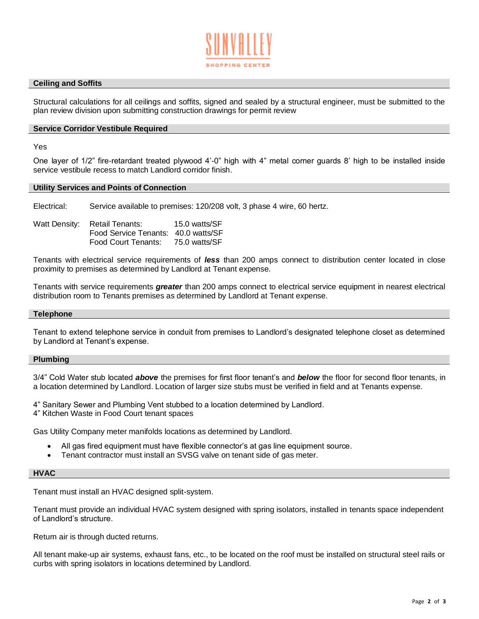

## **Ceiling and Soffits**

Structural calculations for all ceilings and soffits, signed and sealed by a structural engineer, must be submitted to the plan review division upon submitting construction drawings for permit review

#### **Service Corridor Vestibule Required**

Yes

One layer of 1/2" fire-retardant treated plywood 4'-0" high with 4" metal corner guards 8' high to be installed inside service vestibule recess to match Landlord corridor finish.

#### **Utility Services and Points of Connection**

Electrical: Service available to premises: 120/208 volt, 3 phase 4 wire, 60 hertz.

| Watt Density: Retail Tenants:       | 15.0 watts/SF |
|-------------------------------------|---------------|
| Food Service Tenants: 40.0 watts/SF |               |
| Food Court Tenants:                 | 75.0 watts/SF |

Tenants with electrical service requirements of *less* than 200 amps connect to distribution center located in close proximity to premises as determined by Landlord at Tenant expense.

Tenants with service requirements *greater* than 200 amps connect to electrical service equipment in nearest electrical distribution room to Tenants premises as determined by Landlord at Tenant expense.

## **Telephone**

Tenant to extend telephone service in conduit from premises to Landlord's designated telephone closet as determined by Landlord at Tenant's expense.

#### **Plumbing**

3/4" Cold Water stub located *above* the premises for first floor tenant's and *below* the floor for second floor tenants, in a location determined by Landlord. Location of larger size stubs must be verified in field and at Tenants expense.

4" Sanitary Sewer and Plumbing Vent stubbed to a location determined by Landlord.

4" Kitchen Waste in Food Court tenant spaces

Gas Utility Company meter manifolds locations as determined by Landlord.

- All gas fired equipment must have flexible connector's at gas line equipment source.
- Tenant contractor must install an SVSG valve on tenant side of gas meter.

#### **HVAC**

Tenant must install an HVAC designed split-system.

Tenant must provide an individual HVAC system designed with spring isolators, installed in tenants space independent of Landlord's structure.

Return air is through ducted returns.

All tenant make-up air systems, exhaust fans, etc., to be located on the roof must be installed on structural steel rails or curbs with spring isolators in locations determined by Landlord.